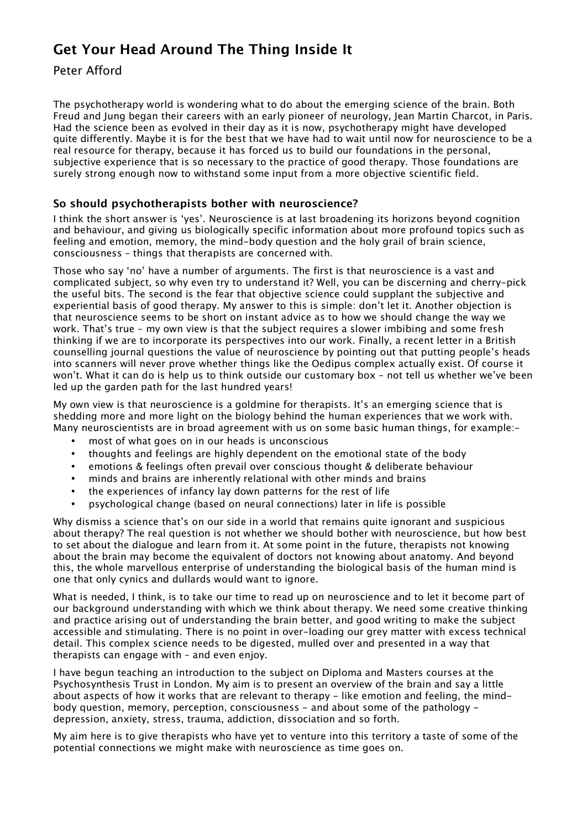# **Get Your Head Around The Thing Inside It**

Peter Afford

The psychotherapy world is wondering what to do about the emerging science of the brain. Both Freud and Jung began their careers with an early pioneer of neurology, Jean Martin Charcot, in Paris. Had the science been as evolved in their day as it is now, psychotherapy might have developed quite differently. Maybe it is for the best that we have had to wait until now for neuroscience to be a real resource for therapy, because it has forced us to build our foundations in the personal, subjective experience that is so necessary to the practice of good therapy. Those foundations are surely strong enough now to withstand some input from a more objective scientific field.

# **So should psychotherapists bother with neuroscience?**

I think the short answer is 'yes'. Neuroscience is at last broadening its horizons beyond cognition and behaviour, and giving us biologically specific information about more profound topics such as feeling and emotion, memory, the mind-body question and the holy grail of brain science, consciousness – things that therapists are concerned with.

Those who say 'no' have a number of arguments. The first is that neuroscience is a vast and complicated subject, so why even try to understand it? Well, you can be discerning and cherry-pick the useful bits. The second is the fear that objective science could supplant the subjective and experiential basis of good therapy. My answer to this is simple: don't let it. Another objection is that neuroscience seems to be short on instant advice as to how we should change the way we work. That's true – my own view is that the subject requires a slower imbibing and some fresh thinking if we are to incorporate its perspectives into our work. Finally, a recent letter in a British counselling journal questions the value of neuroscience by pointing out that putting people's heads into scanners will never prove whether things like the Oedipus complex actually exist. Of course it won't. What it can do is help us to think outside our customary box – not tell us whether we've been led up the garden path for the last hundred years!

My own view is that neuroscience is a goldmine for therapists. It's an emerging science that is shedding more and more light on the biology behind the human experiences that we work with. Many neuroscientists are in broad agreement with us on some basic human things, for example:-

- most of what goes on in our heads is unconscious
- thoughts and feelings are highly dependent on the emotional state of the body
- emotions & feelings often prevail over conscious thought & deliberate behaviour
- minds and brains are inherently relational with other minds and brains
- the experiences of infancy lay down patterns for the rest of life
- psychological change (based on neural connections) later in life is possible

Why dismiss a science that's on our side in a world that remains quite ignorant and suspicious about therapy? The real question is not whether we should bother with neuroscience, but how best to set about the dialogue and learn from it. At some point in the future, therapists not knowing about the brain may become the equivalent of doctors not knowing about anatomy. And beyond this, the whole marvellous enterprise of understanding the biological basis of the human mind is one that only cynics and dullards would want to ignore.

What is needed, I think, is to take our time to read up on neuroscience and to let it become part of our background understanding with which we think about therapy. We need some creative thinking and practice arising out of understanding the brain better, and good writing to make the subject accessible and stimulating. There is no point in over-loading our grey matter with excess technical detail. This complex science needs to be digested, mulled over and presented in a way that therapists can engage with – and even enjoy.

I have begun teaching an introduction to the subject on Diploma and Masters courses at the Psychosynthesis Trust in London. My aim is to present an overview of the brain and say a little about aspects of how it works that are relevant to therapy - like emotion and feeling, the mindbody question, memory, perception, consciousness - and about some of the pathology depression, anxiety, stress, trauma, addiction, dissociation and so forth.

My aim here is to give therapists who have yet to venture into this territory a taste of some of the potential connections we might make with neuroscience as time goes on.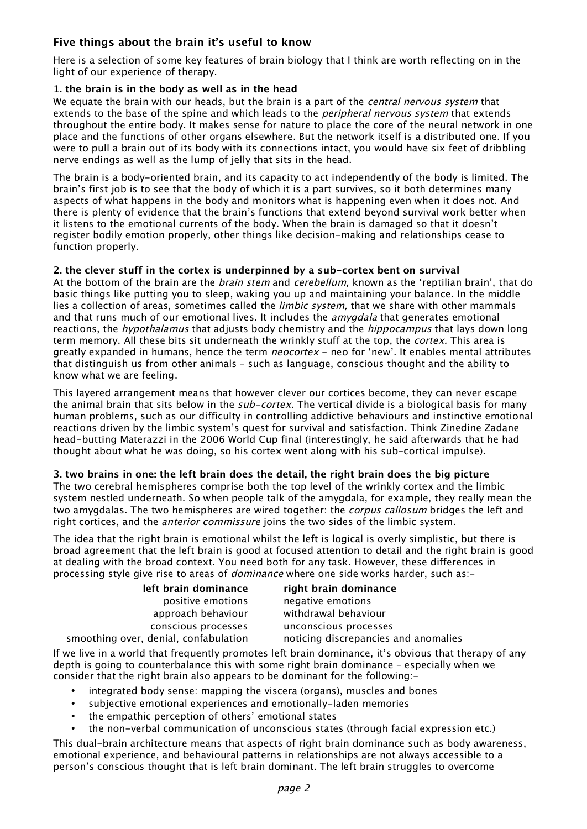# **Five things about the brain it's useful to know**

Here is a selection of some key features of brain biology that I think are worth reflecting on in the light of our experience of therapy.

# **1. the brain is in the body as well as in the head**

We equate the brain with our heads, but the brain is a part of the *central nervous system* that extends to the base of the spine and which leads to the *peripheral nervous system* that extends throughout the entire body. It makes sense for nature to place the core of the neural network in one place and the functions of other organs elsewhere. But the network itself is a distributed one. If you were to pull a brain out of its body with its connections intact, you would have six feet of dribbling nerve endings as well as the lump of jelly that sits in the head.

The brain is a body-oriented brain, and its capacity to act independently of the body is limited. The brain's first job is to see that the body of which it is a part survives, so it both determines many aspects of what happens in the body and monitors what is happening even when it does not. And there is plenty of evidence that the brain's functions that extend beyond survival work better when it listens to the emotional currents of the body. When the brain is damaged so that it doesn't register bodily emotion properly, other things like decision-making and relationships cease to function properly.

# **2. the clever stuff in the cortex is underpinned by a sub-cortex bent on survival**

At the bottom of the brain are the *brain stem* and *cerebellum*, known as the 'reptilian brain', that do basic things like putting you to sleep, waking you up and maintaining your balance. In the middle lies a collection of areas, sometimes called the *limbic system*, that we share with other mammals and that runs much of our emotional lives. It includes the *amygdala* that generates emotional reactions, the *hypothalamus* that adjusts body chemistry and the *hippocampus* that lays down long term memory. All these bits sit underneath the wrinkly stuff at the top, the *cortex*. This area is greatly expanded in humans, hence the term *neocortex* - neo for 'new'. It enables mental attributes that distinguish us from other animals – such as language, conscious thought and the ability to know what we are feeling.

This layered arrangement means that however clever our cortices become, they can never escape the animal brain that sits below in the *sub-cortex*. The vertical divide is a biological basis for many human problems, such as our difficulty in controlling addictive behaviours and instinctive emotional reactions driven by the limbic system's quest for survival and satisfaction. Think Zinedine Zadane head-butting Materazzi in the 2006 World Cup final (interestingly, he said afterwards that he had thought about what he was doing, so his cortex went along with his sub-cortical impulse).

# **3. two brains in one: the left brain does the detail, the right brain does the big picture**

The two cerebral hemispheres comprise both the top level of the wrinkly cortex and the limbic system nestled underneath. So when people talk of the amygdala, for example, they really mean the two amygdalas. The two hemispheres are wired together: the *corpus callosum* bridges the left and right cortices, and the anterior commissure joins the two sides of the limbic system.

The idea that the right brain is emotional whilst the left is logical is overly simplistic, but there is broad agreement that the left brain is good at focused attention to detail and the right brain is good at dealing with the broad context. You need both for any task. However, these differences in processing style give rise to areas of *dominance* where one side works harder, such as:-

| left brain dominance    | right brain dominance                |
|-------------------------|--------------------------------------|
| positive emotions       | negative emotions                    |
| approach behaviour      | withdrawal behaviour                 |
| conscious processes     | unconscious processes                |
| . denial. confabulation | noticing discrepancies and anomalies |

smoothing over, denialism

If we live in a world that frequently promotes left brain dominance, it's obvious that therapy of any depth is going to counterbalance this with some right brain dominance – especially when we consider that the right brain also appears to be dominant for the following:-

- integrated body sense: mapping the viscera (organs), muscles and bones
- subjective emotional experiences and emotionally-laden memories
- the empathic perception of others' emotional states
- the non-verbal communication of unconscious states (through facial expression etc.)

This dual-brain architecture means that aspects of right brain dominance such as body awareness, emotional experience, and behavioural patterns in relationships are not always accessible to a person's conscious thought that is left brain dominant. The left brain struggles to overcome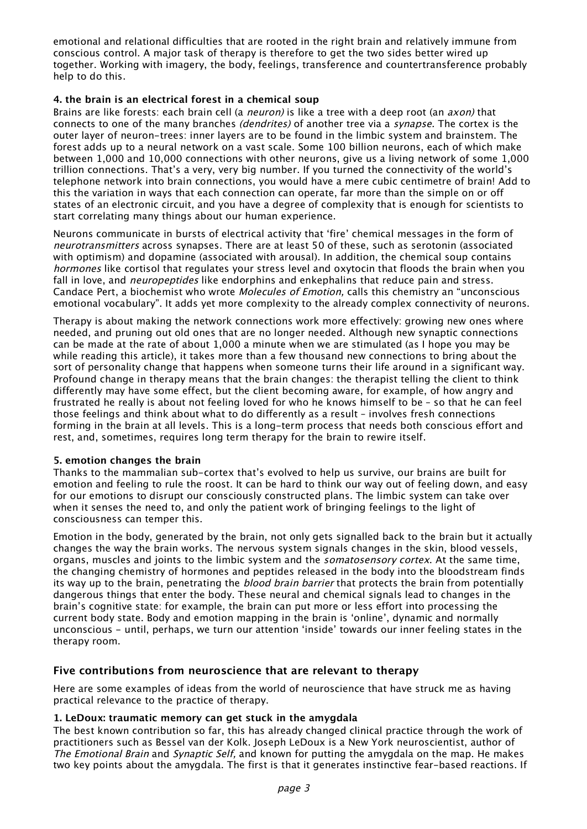emotional and relational difficulties that are rooted in the right brain and relatively immune from conscious control. A major task of therapy is therefore to get the two sides better wired up together. Working with imagery, the body, feelings, transference and countertransference probably help to do this.

# **4. the brain is an electrical forest in a chemical soup**

Brains are like forests: each brain cell (a *neuron*) is like a tree with a deep root (an *axon*) that connects to one of the many branches (dendrites) of another tree via a synapse. The cortex is the outer layer of neuron-trees: inner layers are to be found in the limbic system and brainstem. The forest adds up to a neural network on a vast scale. Some 100 billion neurons, each of which make between 1,000 and 10,000 connections with other neurons, give us a living network of some 1,000 trillion connections. That's a very, very big number. If you turned the connectivity of the world's telephone network into brain connections, you would have a mere cubic centimetre of brain! Add to this the variation in ways that each connection can operate, far more than the simple on or off states of an electronic circuit, and you have a degree of complexity that is enough for scientists to start correlating many things about our human experience.

Neurons communicate in bursts of electrical activity that 'fire' chemical messages in the form of neurotransmitters across synapses. There are at least 50 of these, such as serotonin (associated with optimism) and dopamine (associated with arousal). In addition, the chemical soup contains hormones like cortisol that regulates your stress level and oxytocin that floods the brain when you fall in love, and *neuropeptides* like endorphins and enkephalins that reduce pain and stress. Candace Pert, a biochemist who wrote Molecules of Emotion, calls this chemistry an "unconscious emotional vocabulary". It adds yet more complexity to the already complex connectivity of neurons.

Therapy is about making the network connections work more effectively: growing new ones where needed, and pruning out old ones that are no longer needed. Although new synaptic connections can be made at the rate of about 1,000 a minute when we are stimulated (as I hope you may be while reading this article), it takes more than a few thousand new connections to bring about the sort of personality change that happens when someone turns their life around in a significant way. Profound change in therapy means that the brain changes: the therapist telling the client to think differently may have some effect, but the client becoming aware, for example, of how angry and frustrated he really is about not feeling loved for who he knows himself to be – so that he can feel those feelings and think about what to do differently as a result – involves fresh connections forming in the brain at all levels. This is a long-term process that needs both conscious effort and rest, and, sometimes, requires long term therapy for the brain to rewire itself.

#### **5. emotion changes the brain**

Thanks to the mammalian sub-cortex that's evolved to help us survive, our brains are built for emotion and feeling to rule the roost. It can be hard to think our way out of feeling down, and easy for our emotions to disrupt our consciously constructed plans. The limbic system can take over when it senses the need to, and only the patient work of bringing feelings to the light of consciousness can temper this.

Emotion in the body, generated by the brain, not only gets signalled back to the brain but it actually changes the way the brain works. The nervous system signals changes in the skin, blood vessels, organs, muscles and joints to the limbic system and the *somatosensory cortex*. At the same time, the changing chemistry of hormones and peptides released in the body into the bloodstream finds its way up to the brain, penetrating the *blood brain barrier* that protects the brain from potentially dangerous things that enter the body. These neural and chemical signals lead to changes in the brain's cognitive state: for example, the brain can put more or less effort into processing the current body state. Body and emotion mapping in the brain is 'online', dynamic and normally unconscious - until, perhaps, we turn our attention 'inside' towards our inner feeling states in the therapy room.

# **Five contributions from neuroscience that are relevant to therapy**

Here are some examples of ideas from the world of neuroscience that have struck me as having practical relevance to the practice of therapy.

#### **1. LeDoux: traumatic memory can get stuck in the amygdala**

The best known contribution so far, this has already changed clinical practice through the work of practitioners such as Bessel van der Kolk. Joseph LeDoux is a New York neuroscientist, author of The Emotional Brain and Synaptic Self, and known for putting the amygdala on the map. He makes two key points about the amygdala. The first is that it generates instinctive fear-based reactions. If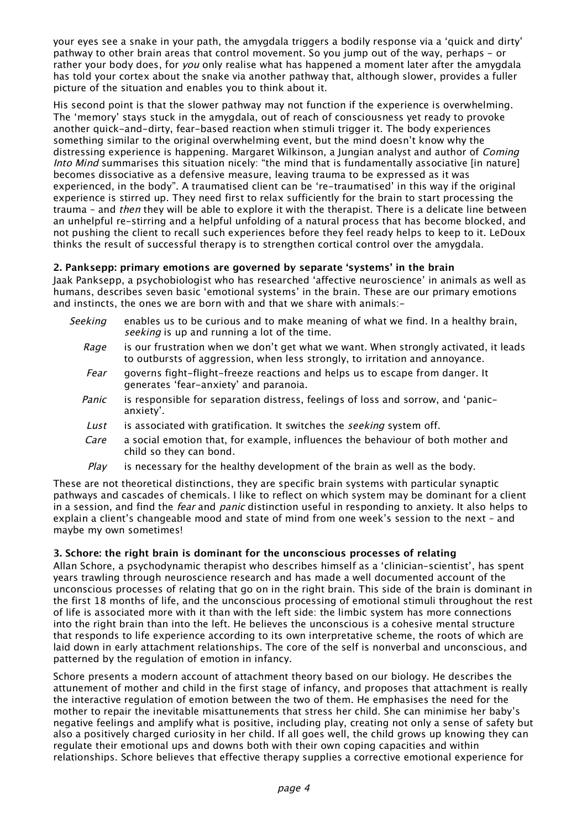your eyes see a snake in your path, the amygdala triggers a bodily response via a 'quick and dirty' pathway to other brain areas that control movement. So you jump out of the way, perhaps - or rather your body does, for *you* only realise what has happened a moment later after the amygdala has told your cortex about the snake via another pathway that, although slower, provides a fuller picture of the situation and enables you to think about it.

His second point is that the slower pathway may not function if the experience is overwhelming. The 'memory' stays stuck in the amygdala, out of reach of consciousness yet ready to provoke another quick-and-dirty, fear-based reaction when stimuli trigger it. The body experiences something similar to the original overwhelming event, but the mind doesn't know why the distressing experience is happening. Margaret Wilkinson, a Jungian analyst and author of *Coming* Into Mind summarises this situation nicely: "the mind that is fundamentally associative [in nature] becomes dissociative as a defensive measure, leaving trauma to be expressed as it was experienced, in the body". A traumatised client can be 're-traumatised' in this way if the original experience is stirred up. They need first to relax sufficiently for the brain to start processing the trauma - and then they will be able to explore it with the therapist. There is a delicate line between an unhelpful re-stirring and a helpful unfolding of a natural process that has become blocked, and not pushing the client to recall such experiences before they feel ready helps to keep to it. LeDoux thinks the result of successful therapy is to strengthen cortical control over the amygdala.

# **2. Panksepp: primary emotions are governed by separate 'systems' in the brain**

Jaak Panksepp, a psychobiologist who has researched 'affective neuroscience' in animals as well as humans, describes seven basic 'emotional systems' in the brain. These are our primary emotions and instincts, the ones we are born with and that we share with animals:-

- Seeking enables us to be curious and to make meaning of what we find. In a healthy brain, seeking is up and running a lot of the time.
	- Rage is our frustration when we don't get what we want. When strongly activated, it leads to outbursts of aggression, when less strongly, to irritation and annoyance.
	- Fear governs fight-flight-freeze reactions and helps us to escape from danger. It generates 'fear-anxiety' and paranoia.
	- Panic is responsible for separation distress, feelings of loss and sorrow, and 'panicanxiety'.
	- Lust is associated with gratification. It switches the *seeking* system off.
	- Care a social emotion that, for example, influences the behaviour of both mother and child so they can bond.
	- $Plav$  is necessary for the healthy development of the brain as well as the body.

These are not theoretical distinctions, they are specific brain systems with particular synaptic pathways and cascades of chemicals. I like to reflect on which system may be dominant for a client in a session, and find the *fear* and *panic* distinction useful in responding to anxiety. It also helps to explain a client's changeable mood and state of mind from one week's session to the next – and maybe my own sometimes!

# **3. Schore: the right brain is dominant for the unconscious processes of relating**

Allan Schore, a psychodynamic therapist who describes himself as a 'clinician-scientist', has spent years trawling through neuroscience research and has made a well documented account of the unconscious processes of relating that go on in the right brain. This side of the brain is dominant in the first 18 months of life, and the unconscious processing of emotional stimuli throughout the rest of life is associated more with it than with the left side: the limbic system has more connections into the right brain than into the left. He believes the unconscious is a cohesive mental structure that responds to life experience according to its own interpretative scheme, the roots of which are laid down in early attachment relationships. The core of the self is nonverbal and unconscious, and patterned by the regulation of emotion in infancy.

Schore presents a modern account of attachment theory based on our biology. He describes the attunement of mother and child in the first stage of infancy, and proposes that attachment is really the interactive regulation of emotion between the two of them. He emphasises the need for the mother to repair the inevitable misattunements that stress her child. She can minimise her baby's negative feelings and amplify what is positive, including play, creating not only a sense of safety but also a positively charged curiosity in her child. If all goes well, the child grows up knowing they can regulate their emotional ups and downs both with their own coping capacities and within relationships. Schore believes that effective therapy supplies a corrective emotional experience for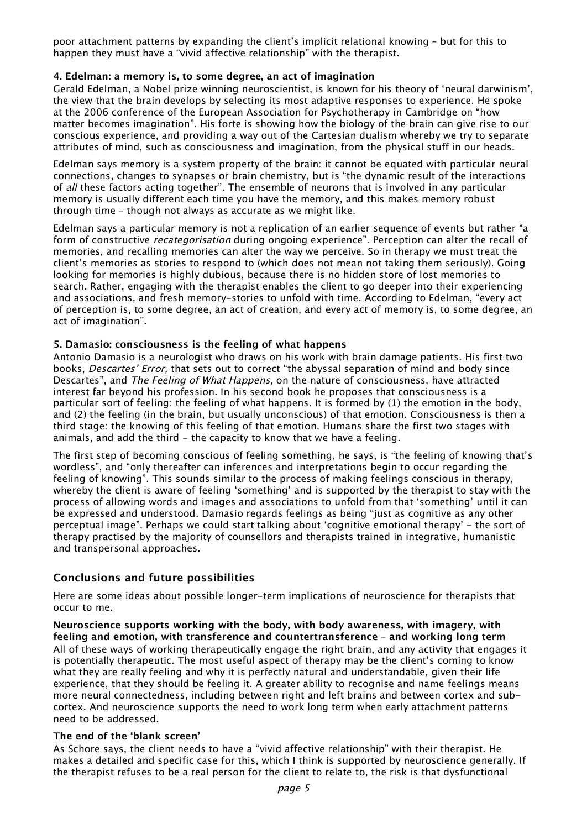poor attachment patterns by expanding the client's implicit relational knowing – but for this to happen they must have a "vivid affective relationship" with the therapist.

# **4. Edelman: a memory is, to some degree, an act of imagination**

Gerald Edelman, a Nobel prize winning neuroscientist, is known for his theory of 'neural darwinism', the view that the brain develops by selecting its most adaptive responses to experience. He spoke at the 2006 conference of the European Association for Psychotherapy in Cambridge on "how matter becomes imagination". His forte is showing how the biology of the brain can give rise to our conscious experience, and providing a way out of the Cartesian dualism whereby we try to separate attributes of mind, such as consciousness and imagination, from the physical stuff in our heads.

Edelman says memory is a system property of the brain: it cannot be equated with particular neural connections, changes to synapses or brain chemistry, but is "the dynamic result of the interactions of all these factors acting together". The ensemble of neurons that is involved in any particular memory is usually different each time you have the memory, and this makes memory robust through time – though not always as accurate as we might like.

Edelman says a particular memory is not a replication of an earlier sequence of events but rather "a form of constructive *recategorisation* during ongoing experience". Perception can alter the recall of memories, and recalling memories can alter the way we perceive. So in therapy we must treat the client's memories as stories to respond to (which does not mean not taking them seriously). Going looking for memories is highly dubious, because there is no hidden store of lost memories to search. Rather, engaging with the therapist enables the client to go deeper into their experiencing and associations, and fresh memory-stories to unfold with time. According to Edelman, "every act of perception is, to some degree, an act of creation, and every act of memory is, to some degree, an act of imagination".

# **5. Damasio: consciousness is the feeling of what happens**

Antonio Damasio is a neurologist who draws on his work with brain damage patients. His first two books, Descartes' Error, that sets out to correct "the abyssal separation of mind and body since Descartes", and The Feeling of What Happens, on the nature of consciousness, have attracted interest far beyond his profession. In his second book he proposes that consciousness is a particular sort of feeling: the feeling of what happens. It is formed by (1) the emotion in the body, and (2) the feeling (in the brain, but usually unconscious) of that emotion. Consciousness is then a third stage: the knowing of this feeling of that emotion. Humans share the first two stages with animals, and add the third - the capacity to know that we have a feeling.

The first step of becoming conscious of feeling something, he says, is "the feeling of knowing that's wordless", and "only thereafter can inferences and interpretations begin to occur regarding the feeling of knowing". This sounds similar to the process of making feelings conscious in therapy, whereby the client is aware of feeling 'something' and is supported by the therapist to stay with the process of allowing words and images and associations to unfold from that 'something' until it can be expressed and understood. Damasio regards feelings as being "just as cognitive as any other perceptual image". Perhaps we could start talking about 'cognitive emotional therapy' - the sort of therapy practised by the majority of counsellors and therapists trained in integrative, humanistic and transpersonal approaches.

# **Conclusions and future possibilities**

Here are some ideas about possible longer-term implications of neuroscience for therapists that occur to me.

**Neuroscience supports working with the body, with body awareness, with imagery, with feeling and emotion, with transference and countertransference – and working long term** All of these ways of working therapeutically engage the right brain, and any activity that engages it is potentially therapeutic. The most useful aspect of therapy may be the client's coming to know what they are really feeling and why it is perfectly natural and understandable, given their life experience, that they should be feeling it. A greater ability to recognise and name feelings means more neural connectedness, including between right and left brains and between cortex and subcortex. And neuroscience supports the need to work long term when early attachment patterns need to be addressed.

#### **The end of the 'blank screen'**

As Schore says, the client needs to have a "vivid affective relationship" with their therapist. He makes a detailed and specific case for this, which I think is supported by neuroscience generally. If the therapist refuses to be a real person for the client to relate to, the risk is that dysfunctional